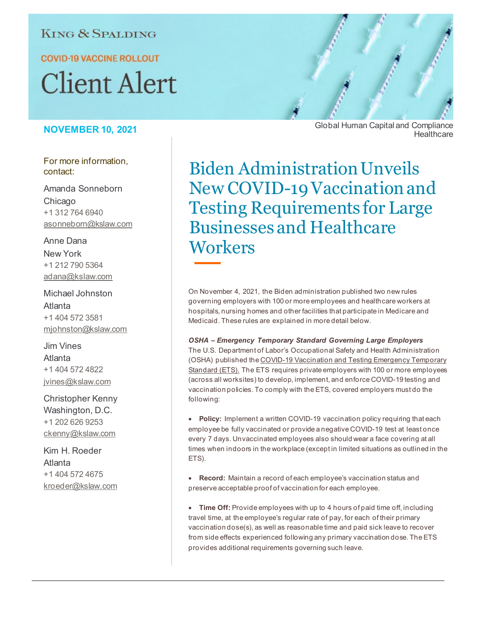# **KING & SPALDING**

**COVID-19 VACCINE ROLLOUT** 

# **Client Alert**

## **NOVEMBER 10, 2021**

For more information, contact:

Amanda Sonneborn Chicago +1 312 764 6940 asonneborn@kslaw.com

Anne Dana New York +1 212 790 5364 adana@kslaw.com

Michael Johnston Atlanta +1 404 572 3581 mjohnston@kslaw.com

Jim Vines Atlanta +1 404 572 4822 jvines@kslaw.com

Christopher Kenny Washington, D.C. +1 202 626 9253 ckenny@kslaw.com

Kim H. Roeder Atlanta +1 404 572 4675 kroeder@kslaw.com Global Human Capital and Compliance **Healthcare** 

Biden Administration Unveils New COVID-19 Vaccination and Testing Requirements for Large Businesses and Healthcare **Workers** 

On November 4, 2021, the Biden administration published two new rules governing employers with 100 or more employees and healthcare workers at hospitals, nursing homes and other facilities that participate in Medicare and Medicaid. These rules are explained in more detail below.

*OSHA – Emergency Temporary Standard Governing Large Employers* The U.S. Department of Labor's Occupational Safety and Health Administration (OSHA) published th[e COVID-19 Vaccination and Testing Emergency Temporary](https://nam11.safelinks.protection.outlook.com/?url=https%3A%2F%2Fpublic-inspection.federalregister.gov%2F2021-23643.pdf&data=04%7C01%7CAKHarris%40KSLAW.com%7C8718b3efbc154722e13a08d99f9ee5eb%7C070bb826d2dc4db791103d46e2a9e315%7C0%7C0%7C637716327072060675%7CUnknown%7CTWFpbGZsb3d8eyJWIjoiMC4wLjAwMDAiLCJQIjoiV2luMzIiLCJBTiI6Ik1haWwiLCJXVCI6Mn0%3D%7C1000&sdata=2vzagXMwZMLgUst14nIgi3axuhbTMfpzIfHti4T6ie4%3D&reserved=0)  [Standard \(ETS\).](https://nam11.safelinks.protection.outlook.com/?url=https%3A%2F%2Fpublic-inspection.federalregister.gov%2F2021-23643.pdf&data=04%7C01%7CAKHarris%40KSLAW.com%7C8718b3efbc154722e13a08d99f9ee5eb%7C070bb826d2dc4db791103d46e2a9e315%7C0%7C0%7C637716327072060675%7CUnknown%7CTWFpbGZsb3d8eyJWIjoiMC4wLjAwMDAiLCJQIjoiV2luMzIiLCJBTiI6Ik1haWwiLCJXVCI6Mn0%3D%7C1000&sdata=2vzagXMwZMLgUst14nIgi3axuhbTMfpzIfHti4T6ie4%3D&reserved=0) The ETS requires private employers with 100 or more employees (across all worksites) to develop, implement, and enforce COVID-19 testing and vaccination policies. To comply with the ETS, covered employers must do the following:

• **Policy:** Implement a written COVID-19 vaccination policy requiring that each employee be fully vaccinated or provide a negative COVID-19 test at least once every 7 days. Unvaccinated employees also should wear a face covering at all times when indoors in the workplace (except in limited situations as outlined in the ETS).

• **Record:** Maintain a record of each employee's vaccination status and preserve acceptable proof of vaccination for each employee.

• **Time Off:** Provide employees with up to 4 hours of paid time off, including travel time, at the employee's regular rate of pay, for each of their primary vaccination dose(s), as well as reasonable time and paid sick leave to recover from side effects experienced following any primary vaccination dose. The ETS provides additional requirements governing such leave.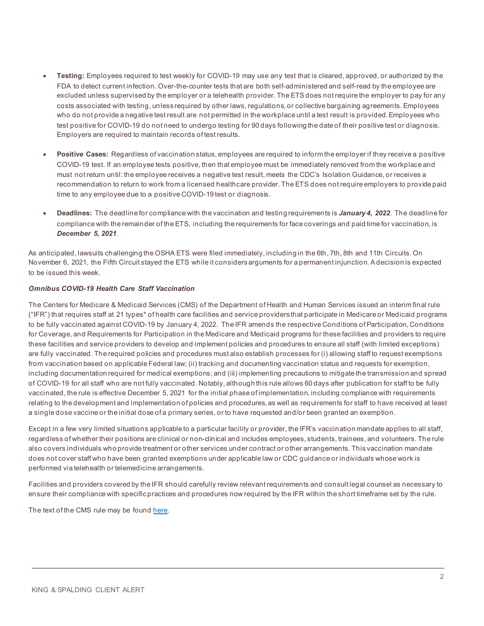- **Testing:** Employees required to test weekly for COVID-19 may use any test that is cleared, approved, or authorized by the FDA to detect current infection. Over-the-counter tests that are both self-administered and self-read by the employee are excluded unless supervised by the employer or a telehealth provider. The ETS does not require the employer to pay for any costs associated with testing, unless required by other laws, regulations, or collective bargaining agreements. Employees who do not provide a negative test result are not permitted in the workplace until a test result is provided. Employees who test positive for COVID-19 do not need to undergo testing for 90 days following the date of their positive test or diagnosis. Employers are required to maintain records of test results.
- **Positive Cases:** Regardless of vaccination status, employees are required to inform the employer if they receive a positive COVID-19 test. If an employee tests positive, then that employee must be immediately removed from the workplace and must not return until: the employee receives a negative test result, meets the CDC's Isolation Guidance, or receives a recommendation to return to work from a licensed healthcare provider. The ETS does not require employers to provide paid time to any employee due to a positive COVID-19 test or diagnosis.
- **Deadlines:** The deadline for compliance with the vaccination and testing requirements is *January 4, 2022*. The deadline for compliance with the remainder of the ETS, including the requirements for face coverings and paid time for vaccination, is *December 5, 2021*.

As anticipated, lawsuits challenging the OSHA ETS were filed immediately, including in the 6th, 7th, 8th and 11th Circuits. On November 6, 2021, the Fifth Circuit stayed the ETS while it considers arguments for a permanent injunction. A decision is expected to be issued this week.

#### *Omnibus COVID-19 Health Care Staff Vaccination*

The Centers for Medicare & Medicaid Services (CMS) of the Department of Health and Human Services issued an interim final rule ("IFR") that requires staff at 21 types\* of health care facilities and service providers that participate in Medicare or Medicaid programs to be fully vaccinated against COVID-19 by January 4, 2022. The IFR amends the respective Conditions of Participation, Conditions for Coverage, and Requirements for Participation in the Medicare and Medicaid programs for these facilities and providers to require these facilities and service providers to develop and implement policies and procedures to ensure all staff (with limited exceptions) are fully vaccinated. The required policies and procedures must also establish processes for (i) allowing staff to request exemptions from vaccination based on applicable Federal law; (ii) tracking and documenting vaccination status and requests for exemption, including documentation required for medical exemptions; and (iii) implementing precautions to mitigate the transmission and spread of COVID-19 for all staff who are not fully vaccinated. Notably, although this rule allows 60 days after publication for staff to be fully vaccinated, the rule is effective December 5, 2021 for the initial phase of implementation, including compliance with requirements relating to the development and implementation of policies and procedures, as well as requirements for staff to have received at least a single dose vaccine or the initial dose of a primary series, or to have requested and/or been granted an exemption.

Except in a few very limited situations applicable to a particular facility or provider, the IFR's vaccination mandate applies to all staff, regardless of whether their positions are clinical or non-clinical and includes employees, students, trainees, and volunteers. The rule also covers individuals who provide treatment or other services under contract or other arrangements. This vaccination mandate does not cover staff who have been granted exemptions under applicable law or CDC guidance or individuals whose work is performed via telehealth or telemedicine arrangements.

Facilities and providers covered by the IFR should carefully review relevant requirements and consult legal counsel as necessary to ensure their compliance with specific practices and procedures now required by the IFR within the short timeframe set by the rule.

The text of the CMS rule may be foun[d here.](https://public-inspection.federalregister.gov/2021-23831.pdf)